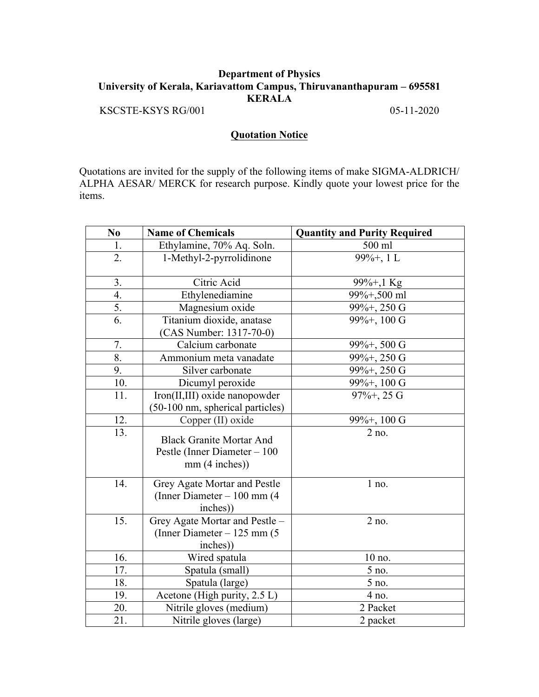## **Department of Physics University of Kerala, Kariavattom Campus, Thiruvananthapuram – 695581 KERALA**

KSCSTE-KSYS RG/001 05-11-2020

## **Quotation Notice**

Quotations are invited for the supply of the following items of make SIGMA-ALDRICH/ ALPHA AESAR/ MERCK for research purpose. Kindly quote your lowest price for the items.

| N <sub>0</sub>    | <b>Name of Chemicals</b>                                                         | <b>Quantity and Purity Required</b> |
|-------------------|----------------------------------------------------------------------------------|-------------------------------------|
| 1.                | Ethylamine, 70% Aq. Soln.                                                        | 500 ml                              |
| 2.                | 1-Methyl-2-pyrrolidinone                                                         | $99\% +$ , 1 L                      |
| 3.                | Citric Acid                                                                      | $99\% + 1$ Kg                       |
| $\overline{4}$ .  | Ethylenediamine                                                                  | 99%+,500 ml                         |
| 5.                | Magnesium oxide                                                                  | 99%+, 250 G                         |
| 6.                | Titanium dioxide, anatase<br>(CAS Number: 1317-70-0)                             | 99%+, 100 G                         |
| 7.                | Calcium carbonate                                                                | 99%+, 500 G                         |
| 8.                | Ammonium meta vanadate                                                           | 99%+, 250 G                         |
| 9.                | Silver carbonate                                                                 | 99%+, 250 G                         |
| 10.               | Dicumyl peroxide                                                                 | 99%+, 100 G                         |
| 11.               | Iron(II,III) oxide nanopowder<br>(50-100 nm, spherical particles)                | $97\% + 25 \text{ G}$               |
| 12.               | Copper (II) oxide                                                                | $99\% +$ , 100 G                    |
| $\overline{13}$ . | <b>Black Granite Mortar And</b><br>Pestle (Inner Diameter $-100$<br>mm(4 inches) | $2$ no.                             |
| 14.               | Grey Agate Mortar and Pestle<br>(Inner Diameter - 100 mm (4)<br>inches))         | 1 no.                               |
| 15.               | Grey Agate Mortar and Pestle -<br>(Inner Diameter $-125$ mm (5)<br>inches))      | 2 no.                               |
| 16.               | Wired spatula                                                                    | 10 no.                              |
| 17.               | Spatula (small)                                                                  | 5 no.                               |
| 18.               | Spatula (large)                                                                  | 5 no.                               |
| 19.               | Acetone (High purity, 2.5 L)                                                     | 4 no.                               |
| 20.               | Nitrile gloves (medium)                                                          | 2 Packet                            |
| 21.               | Nitrile gloves (large)                                                           | 2 packet                            |